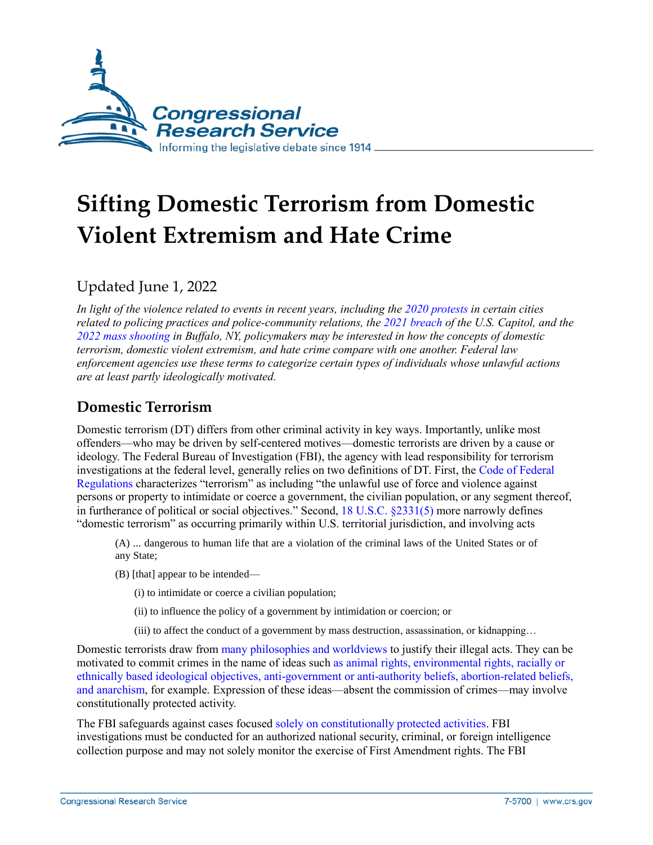

# **Sifting Domestic Terrorism from Domestic Violent Extremism and Hate Crime**

Updated June 1, 2022

*In light of the violence related to events in recent years, including th[e 2020 protests](https://apnews.com/article/b57315d97dd2146c4a89b4636faa7b70) in certain cities related to policing practices and police-community relations, the 2021 [breach](https://www.npr.org/sections/insurrection-at-the-capitol) of the U.S. Capitol, and the [2022 mass shooting](https://apnews.com/article/buffalo-supermarket-shooting-442c6d97a073f39f99d006dbba40f64b) in Buffalo, NY, policymakers may be interested in how the concepts of domestic terrorism, domestic violent extremism, and hate crime compare with one another. Federal law enforcement agencies use these terms to categorize certain types of individuals whose unlawful actions are at least partly ideologically motivated.*

## **Domestic Terrorism**

Domestic terrorism (DT) differs from other criminal activity in key ways. Importantly, unlike most offenders—who may be driven by self-centered motives—domestic terrorists are driven by a cause or ideology. The Federal Bureau of Investigation (FBI), the agency with lead responsibility for terrorism investigations at the federal level, generally relies on two definitions of DT. First, the [Code of Federal](https://www.ecfr.gov/cgi-bin/text-idx?SID=e9d940991c9a5d29830d30624df9bc85&mc=true&node=se28.1.0_185&rgn=div8)  [Regulations](https://www.ecfr.gov/cgi-bin/text-idx?SID=e9d940991c9a5d29830d30624df9bc85&mc=true&node=se28.1.0_185&rgn=div8) characterizes "terrorism" as including "the unlawful use of force and violence against persons or property to intimidate or coerce a government, the civilian population, or any segment thereof, in furtherance of political or social objectives." Second, [18 U.S.C. §2331\(5\)](https://uscode.house.gov/view.xhtml?req=granuleid:USC-prelim-title18-section2331&num=0&edition=prelim) more narrowly defines "domestic terrorism" as occurring primarily within U.S. territorial jurisdiction, and involving acts

(A) ... dangerous to human life that are a violation of the criminal laws of the United States or of any State;

- (B) [that] appear to be intended—
	- (i) to intimidate or coerce a civilian population;
	- (ii) to influence the policy of a government by intimidation or coercion; or
	- (iii) to affect the conduct of a government by mass destruction, assassination, or kidnapping…

Domestic terrorists draw from [many philosophies and worldviews](https://www.fbi.gov/news/stories/2009/september/domterror_090709) to justify their illegal acts. They can be motivated to commit crimes in the name of ideas suc[h as animal rights, environmental rights, racially or](https://www.fbi.gov/file-repository/fbi-dhs-domestic-terrorism-strategic-report.pdf)  [ethnically based ideological objectives, anti-government](https://www.fbi.gov/file-repository/fbi-dhs-domestic-terrorism-strategic-report.pdf) or anti-authority beliefs, abortion-related beliefs, [and anarchism,](https://www.fbi.gov/file-repository/fbi-dhs-domestic-terrorism-strategic-report.pdf) for example. Expression of these ideas—absent the commission of crimes—may involve constitutionally protected activity.

The FBI safeguards against cases focused [solely on constitutionally protected activities.](http://www.fbi.gov/news/testimony/oversight-of-the-federal-bureau-of-investigation-6) FBI investigations must be conducted for an authorized national security, criminal, or foreign intelligence collection purpose and may not solely monitor the exercise of First Amendment rights. The FBI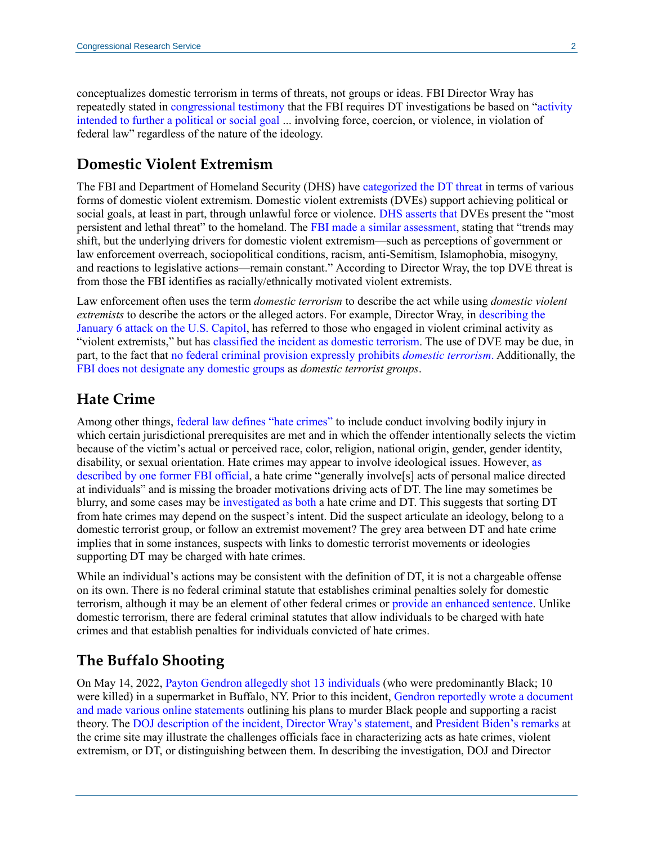conceptualizes domestic terrorism in terms of threats, not groups or ideas. FBI Director Wray has repeatedly stated in [congressional testimony](https://www.fbi.gov/news/testimony/threats-to-the-homeland-evaluating-the-landscape-20-years-after-911-wray-092121) that the FBI requires DT investigations be based on ["activity](https://www.fbi.gov/news/testimony/worldwide-threats-to-the-homeland-091720)  [intended to further a political or social goal](https://www.fbi.gov/news/testimony/worldwide-threats-to-the-homeland-091720) ... involving force, coercion, or violence, in violation of federal law" regardless of the nature of the ideology.

#### **Domestic Violent Extremism**

The FBI and Department of Homeland Security (DHS) have [categorized the DT threat](https://www.fbi.gov/file-repository/fbi-dhs-domestic-terrorism-definitions-terminology-methodology.pdf/view) in terms of various forms of domestic violent extremism. Domestic violent extremists (DVEs) support achieving political or social goals, at least in part, through unlawful force or violence. [DHS asserts that D](https://www.dhs.gov/sites/default/files/publications/2020_10_06_homeland-threat-assessment.pdf)VEs present the "most persistent and lethal threat" to the homeland. The [FBI made a similar assessment,](https://www.fbi.gov/news/testimony/worldwide-threats-to-the-homeland-091720) stating that "trends may shift, but the underlying drivers for domestic violent extremism—such as perceptions of government or law enforcement overreach, sociopolitical conditions, racism, anti-Semitism, Islamophobia, misogyny, and reactions to legislative actions—remain constant." According to Director Wray, the top DVE threat is from those the FBI identifies as racially/ethnically motivated violent extremists.

Law enforcement often uses the term *domestic terrorism* to describe the act while using *domestic violent extremists* to describe the actors or the alleged actors. For example, Director Wray, in [describing the](https://www.fbi.gov/news/testimony/examining-the-january-6-attack-on-the-us-capitol-wray-061521)  [January 6 attack on the U.S. Capitol,](https://www.fbi.gov/news/testimony/examining-the-january-6-attack-on-the-us-capitol-wray-061521) has referred to those who engaged in violent criminal activity as "violent extremists," but has classified [the incident as domestic terrorism.](https://www.judiciary.senate.gov/meetings/oversight-of-the-federal-bureau-of-investigation-the-january-6-insurrection-domestic-terrorism-and-other-threats) The use of DVE may be due, in part, to the fact that [no federal criminal provision expressly](https://crsreports.congress.gov/product/pdf/R/R46829) prohibits *domestic terrorism*. Additionally, the [FBI does not designate any domestic groups](https://crsreports.congress.gov/product/pdf/IF/IF10839) as *domestic terrorist groups*.

#### **Hate Crime**

Among other things, [federal law defines "hate crimes"](http://www.justice.gov/crt/about/crm/249fin.php) to include conduct involving bodily injury in which certain jurisdictional prerequisites are met and in which the offender intentionally selects the victim because of the victim's actual or perceived race, color, religion, national origin, gender, gender identity, disability, or sexual orientation. Hate crimes may appear to involve ideological issues. However, [as](http://www.gpo.gov/fdsys/pkg/CHRG-109shrg32209/html/CHRG-109shrg32209.htm)  [described by one former FBI official,](http://www.gpo.gov/fdsys/pkg/CHRG-109shrg32209/html/CHRG-109shrg32209.htm) a hate crime "generally involve[s] acts of personal malice directed at individuals" and is missing the broader motivations driving acts of DT. The line may sometimes be blurry, and some cases may be [investigated as both](https://www.fbi.gov/news/testimony/confronting-white-supremacy) a hate crime and DT. This suggests that sorting DT from hate crimes may depend on the suspect's intent. Did the suspect articulate an ideology, belong to a domestic terrorist group, or follow an extremist movement? The grey area between DT and hate crime implies that in some instances, suspects with links to domestic terrorist movements or ideologies supporting DT may be charged with hate crimes.

While an individual's actions may be consistent with the definition of DT, it is not a chargeable offense on its own. There is no federal criminal statute that establishes criminal penalties solely for domestic terrorism, although it may be an element of other federal crimes or [provide an enhanced sentence.](https://uscode.house.gov/view.xhtml?req=granuleid:USC-prelim-title18-section1001&num=0&edition=prelim) Unlike domestic terrorism, there are federal criminal statutes that allow individuals to be charged with hate crimes and that establish penalties for individuals convicted of hate crimes.

## **The Buffalo Shooting**

On May 14, 2022, [Payton Gendron allegedly shot 13](https://apnews.com/article/buffalo-supermarket-shooting-442c6d97a073f39f99d006dbba40f64b) individuals (who were predominantly Black; 10 were killed) in a supermarket in Buffalo, NY. Prior to this incident, [Gendron reportedly wrote a document](https://www.washingtonpost.com/investigations/2022/05/16/buffalo-shooting-previous-supermarket-confrontation/)  [and made various online statements](https://www.washingtonpost.com/investigations/2022/05/16/buffalo-shooting-previous-supermarket-confrontation/) outlining his plans to murder Black people and supporting a racist theory. The [DOJ description of the incident,](https://www.justice.gov/opa/pr/justice-department-statement-mass-shooting-buffalo-ny) [Director Wray's statement,](https://www.fbi.gov/news/press-releases/press-releases/statement-on-the-fbi-response-to-the-shooting-in-buffalo-new-york) and [President Biden's remarks](https://www.whitehouse.gov/briefing-room/speeches-remarks/2022/05/17/remarks-by-president-biden-and-first-lady-biden-honoring-the-lives-lost-in-buffalo-new-york-and-calling-on-all-americans-to-condemn-white-supremacy/) at the crime site may illustrate the challenges officials face in characterizing acts as hate crimes, violent extremism, or DT, or distinguishing between them. In describing the investigation, DOJ and Director